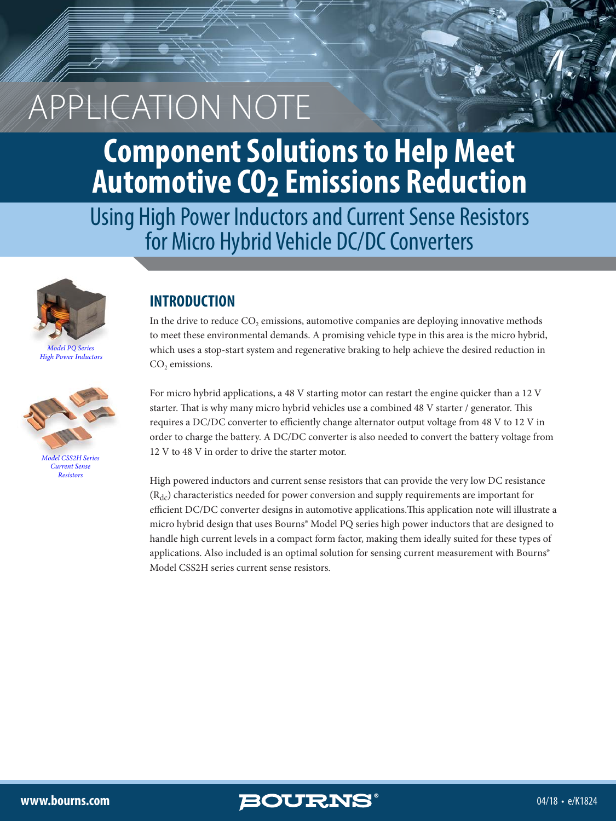# **Component Solutions to Help Meet Automotive CO2 Emissions Reduction**

Using High Power Inductors and Current Sense Resistors for Micro Hybrid Vehicle DC/DC Converters



*Model PQ Series [High Power Inductors](http://www.bourns.com/resources/rohs/magnetics/power-inductors-smd-high-current-shielded)*



*[Model CSS2H Series](http://www.bourns.com/products/fixed-resistors/current-sense-resistors) Current Sense Resistors*

### **INTRODUCTION**

In the drive to reduce  $CO<sub>2</sub>$  emissions, automotive companies are deploying innovative methods to meet these environmental demands. A promising vehicle type in this area is the micro hybrid, which uses a stop-start system and regenerative braking to help achieve the desired reduction in  $CO<sub>2</sub>$  emissions.

For micro hybrid applications, a 48 V starting motor can restart the engine quicker than a 12 V starter. That is why many micro hybrid vehicles use a combined 48 V starter / generator. This requires a DC/DC converter to efficiently change alternator output voltage from 48 V to 12 V in order to charge the battery. A DC/DC converter is also needed to convert the battery voltage from 12 V to 48 V in order to drive the starter motor.

High powered inductors and current sense resistors that can provide the very low DC resistance  $(R_{dc})$  characteristics needed for power conversion and supply requirements are important for efficient DC/DC converter designs in automotive applications.This application note will illustrate a micro hybrid design that uses Bourns® Model PQ series high power inductors that are designed to handle high current levels in a compact form factor, making them ideally suited for these types of applications. Also included is an optimal solution for sensing current measurement with Bourns® Model CSS2H series current sense resistors.

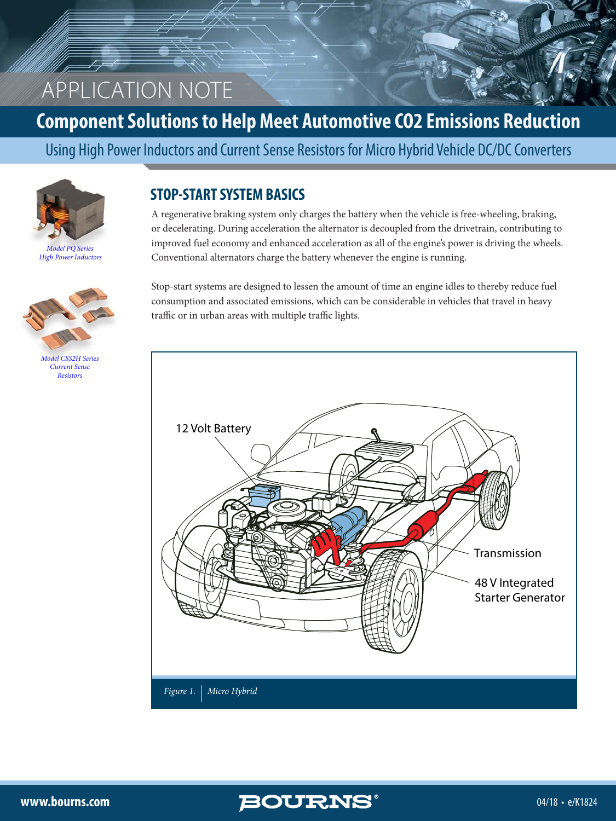### **Component Solutions to Help Meet Automotive CO2 Emissions Reduction**

Using High Power Inductors and Current Sense Resistors for Micro Hybrid Vehicle DC/DC Converters



*Model PQ Series [High Power Inductors](http://www.bourns.com/resources/rohs/magnetics/power-inductors-smd-high-current-shielded)*



*[Model CSS2H Series](http://www.bourns.com/products/fixed-resistors/current-sense-resistors) Current Sense Resistors*

#### **STOP-START SYSTEM BASICS**

A regenerative braking system only charges the battery when the vehicle is free-wheeling, braking, or decelerating. During acceleration the alternator is decoupled from the drivetrain, contributing to improved fuel economy and enhanced acceleration as all of the engine's power is driving the wheels. Conventional alternators charge the battery whenever the engine is running.

Stop-start systems are designed to lessen the amount of time an engine idles to thereby reduce fuel consumption and associated emissions, which can be considerable in vehicles that travel in heavy traffic or in urban areas with multiple traffic lights.



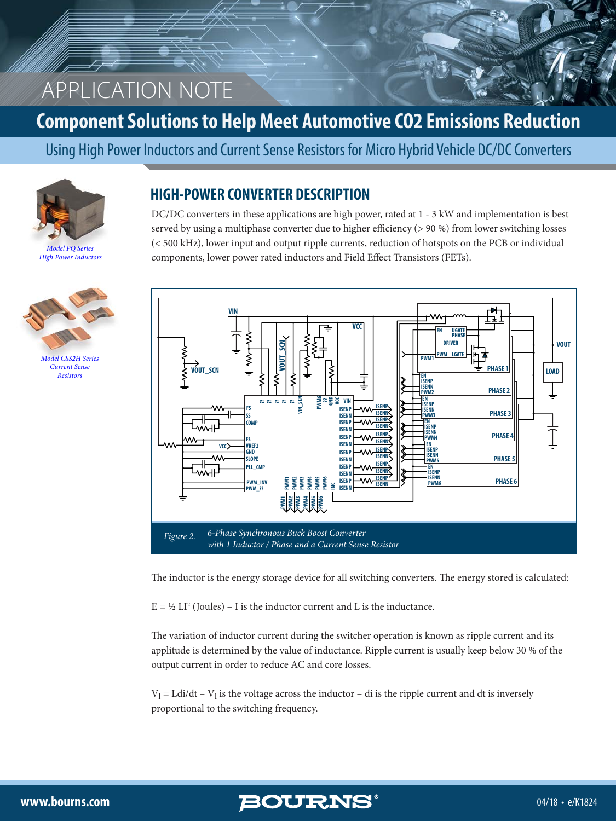### **Component Solutions to Help Meet Automotive CO2 Emissions Reduction**

Using High Power Inductors and Current Sense Resistors for Micro Hybrid Vehicle DC/DC Converters



*Model PQ Series [High Power Inductors](http://www.bourns.com/resources/rohs/magnetics/power-inductors-smd-high-current-shielded)*



*[Model CSS2H Series](http://www.bourns.com/products/fixed-resistors/current-sense-resistors) Current Sense Resistors*

#### **HIGH-POWER CONVERTER DESCRIPTION**

DC/DC converters in these applications are high power, rated at 1 - 3 kW and implementation is best served by using a multiphase converter due to higher efficiency (> 90 %) from lower switching losses (< 500 kHz), lower input and output ripple currents, reduction of hotspots on the PCB or individual components, lower power rated inductors and Field Effect Transistors (FETs).



The inductor is the energy storage device for all switching converters. The energy stored is calculated:

 $E = \frac{1}{2} L I^2$  (Joules) – I is the inductor current and L is the inductance.

The variation of inductor current during the switcher operation is known as ripple current and its applitude is determined by the value of inductance. Ripple current is usually keep below 30 % of the output current in order to reduce AC and core losses.

 $V_1$  = Ldi/dt –  $V_1$  is the voltage across the inductor – di is the ripple current and dt is inversely proportional to the switching frequency.

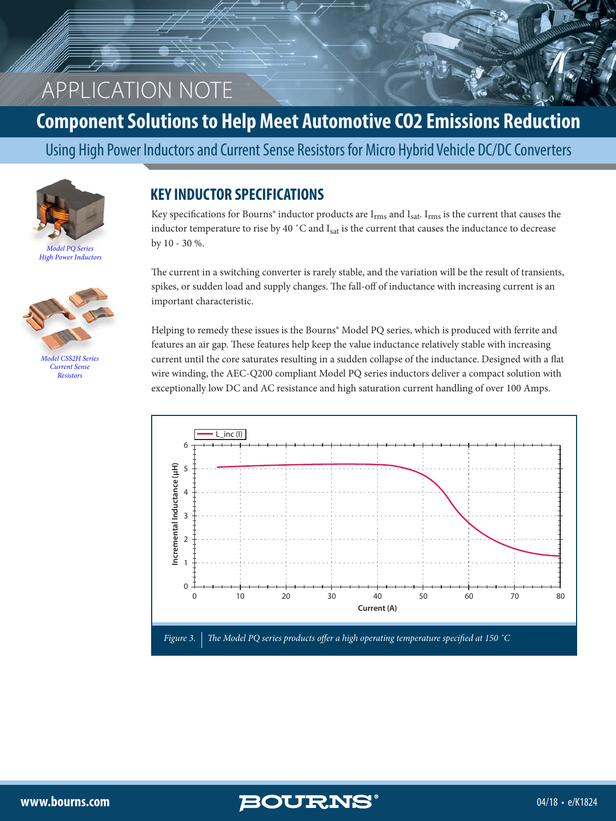### **Component Solutions to Help Meet Automotive CO2 Emissions Reduction**

Using High Power Inductors and Current Sense Resistors for Micro Hybrid Vehicle DC/DC Converters



*Model PQ Series [High Power Inductors](http://www.bourns.com/resources/rohs/magnetics/power-inductors-smd-high-current-shielded)*



*[Model CSS2H Series](http://www.bourns.com/products/fixed-resistors/current-sense-resistors) Current Sense Resistors*

#### **KEY INDUCTOR SPECIFICATIONS**

Key specifications for Bourns® inductor products are  $I_{rms}$  and  $I_{sat}$ .  $I_{rms}$  is the current that causes the inductor temperature to rise by 40 °C and  $I_{sat}$  is the current that causes the inductance to decrease by 10 - 30 %.

The current in a switching converter is rarely stable, and the variation will be the result of transients, spikes, or sudden load and supply changes. The fall-off of inductance with increasing current is an important characteristic.

Helping to remedy these issues is the Bourns® Model PQ series, which is produced with ferrite and features an air gap. These features help keep the value inductance relatively stable with increasing current until the core saturates resulting in a sudden collapse of the inductance. Designed with a flat wire winding, the AEC-Q200 compliant Model PQ series inductors deliver a compact solution with exceptionally low DC and AC resistance and high saturation current handling of over 100 Amps.

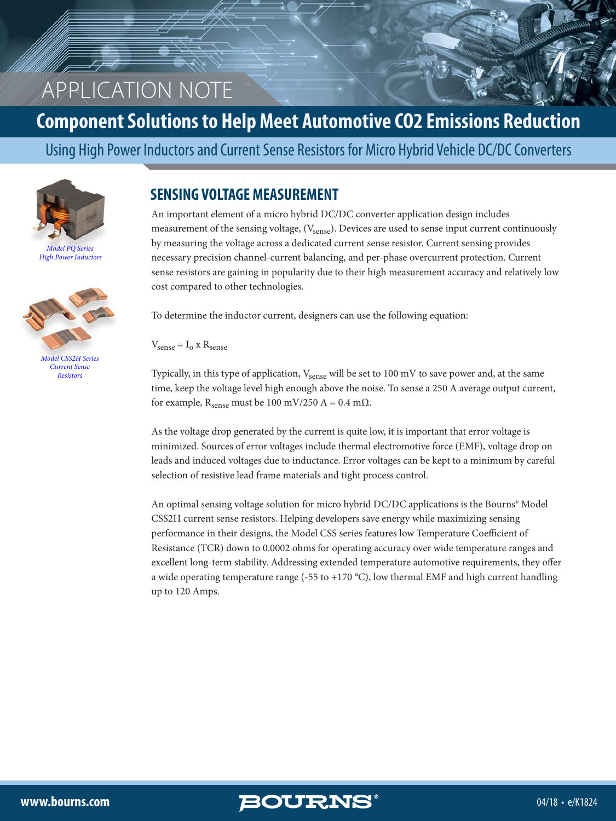### **Component Solutions to Help Meet Automotive CO2 Emissions Reduction**

Using High Power Inductors and Current Sense Resistors for Micro Hybrid Vehicle DC/DC Converters



*Model PQ Series [High Power Inductors](http://www.bourns.com/resources/rohs/magnetics/power-inductors-smd-high-current-shielded)*



*[Model CSS2H Series](http://www.bourns.com/products/fixed-resistors/current-sense-resistors) Current Sense Resistors*

#### **SENSING VOLTAGE MEASUREMENT**

An important element of a micro hybrid DC/DC converter application design includes measurement of the sensing voltage, (V<sub>sense</sub>). Devices are used to sense input current continuously by measuring the voltage across a dedicated current sense resistor. Current sensing provides necessary precision channel-current balancing, and per-phase overcurrent protection. Current sense resistors are gaining in popularity due to their high measurement accuracy and relatively low cost compared to other technologies.

To determine the inductor current, designers can use the following equation:

 $V_{\text{sense}} = I_0 \times R_{\text{sense}}$ 

Typically, in this type of application,  $V_{\rm sense}$  will be set to 100 mV to save power and, at the same time, keep the voltage level high enough above the noise. To sense a 250 A average output current, for example,  $R_{\text{sense}}$  must be 100 mV/250 A = 0.4 m $\Omega$ .

As the voltage drop generated by the current is quite low, it is important that error voltage is minimized. Sources of error voltages include thermal electromotive force (EMF), voltage drop on leads and induced voltages due to inductance. Error voltages can be kept to a minimum by careful selection of resistive lead frame materials and tight process control.

An optimal sensing voltage solution for micro hybrid DC/DC applications is the Bourns® Model CSS2H current sense resistors. Helping developers save energy while maximizing sensing performance in their designs, the Model CSS series features low Temperature Coefficient of Resistance (TCR) down to 0.0002 ohms for operating accuracy over wide temperature ranges and excellent long-term stability. Addressing extended temperature automotive requirements, they offer a wide operating temperature range (-55 to +170 °C), low thermal EMF and high current handling up to 120 Amps.